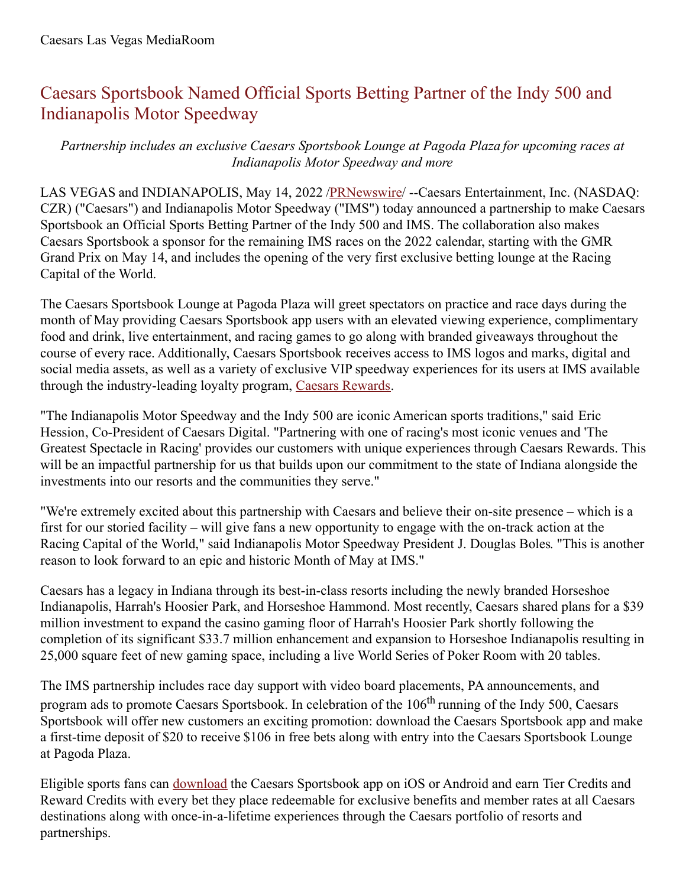## Caesars Sportsbook Named Official Sports Betting Partner of the Indy 500 and Indianapolis Motor Speedway

*Partnership includes an exclusive Caesars Sportsbook Lounge at Pagoda Plaza for upcoming races at Indianapolis Motor Speedway and more*

LAS VEGAS and INDIANAPOLIS, May 14, 2022 [/PRNewswire](http://www.prnewswire.com/)/ --Caesars Entertainment, Inc. (NASDAQ: CZR) ("Caesars") and Indianapolis Motor Speedway ("IMS") today announced a partnership to make Caesars Sportsbook an Official Sports Betting Partner of the Indy 500 and IMS. The collaboration also makes Caesars Sportsbook a sponsor for the remaining IMS races on the 2022 calendar, starting with the GMR Grand Prix on May 14, and includes the opening of the very first exclusive betting lounge at the Racing Capital of the World.

The Caesars Sportsbook Lounge at Pagoda Plaza will greet spectators on practice and race days during the month of May providing Caesars Sportsbook app users with an elevated viewing experience, complimentary food and drink, live entertainment, and racing games to go along with branded giveaways throughout the course of every race. Additionally, Caesars Sportsbook receives access to IMS logos and marks, digital and social media assets, as well as a variety of exclusive VIP speedway experiences for its users at IMS available through the industry-leading loyalty program, Caesars [Rewards](https://c212.net/c/link/?t=0&l=en&o=3536558-1&h=2812694270&u=https%3A%2F%2Fwww.caesars.com%2Fmyrewards&a=Caesars+Rewards).

"The Indianapolis Motor Speedway and the Indy 500 are iconic American sports traditions," said Eric Hession, Co-President of Caesars Digital. "Partnering with one of racing's most iconic venues and 'The Greatest Spectacle in Racing' provides our customers with unique experiences through Caesars Rewards. This will be an impactful partnership for us that builds upon our commitment to the state of Indiana alongside the investments into our resorts and the communities they serve."

"We're extremely excited about this partnership with Caesars and believe their on-site presence – which is a first for our storied facility – will give fans a new opportunity to engage with the on-track action at the Racing Capital of the World," said Indianapolis Motor Speedway President J. Douglas Boles. "This is another reason to look forward to an epic and historic Month of May at IMS."

Caesars has a legacy in Indiana through its best-in-class resorts including the newly branded Horseshoe Indianapolis, Harrah's Hoosier Park, and Horseshoe Hammond. Most recently, Caesars shared plans for a \$39 million investment to expand the casino gaming floor of Harrah's Hoosier Park shortly following the completion of its significant \$33.7 million enhancement and expansion to Horseshoe Indianapolis resulting in 25,000 square feet of new gaming space, including a live World Series of Poker Room with 20 tables.

The IMS partnership includes race day support with video board placements, PA announcements, and program ads to promote Caesars Sportsbook. In celebration of the 106<sup>th</sup> running of the Indy 500, Caesars Sportsbook will offer new customers an exciting promotion: download the Caesars Sportsbook app and make a first-time deposit of \$20 to receive \$106 in free bets along with entry into the Caesars Sportsbook Lounge at Pagoda Plaza.

Eligible sports fans can [download](https://c212.net/c/link/?t=0&l=en&o=3536558-1&h=3138331067&u=https%3A%2F%2Fwww.williamhill.com%2Fus%2Fget-the-app&a=download) the Caesars Sportsbook app on iOS or Android and earn Tier Credits and Reward Credits with every bet they place redeemable for exclusive benefits and member rates at all Caesars destinations along with once-in-a-lifetime experiences through the Caesars portfolio of resorts and partnerships.